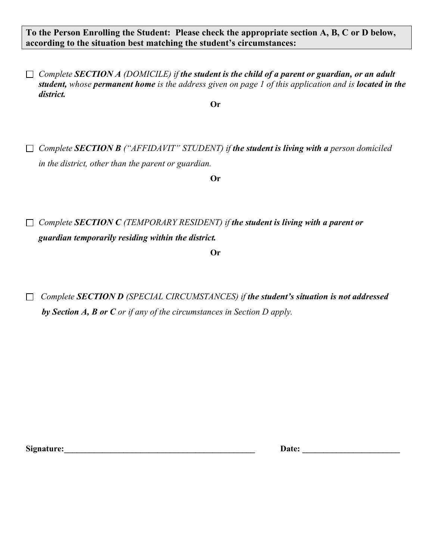**To the Person Enrolling the Student: Please check the appropriate section A, B, C or D below, according to the situation best matching the student's circumstances:**

*Complete SECTION A (DOMICILE) if the student is the child of a parent or guardian, or an adult student, whose permanent home is the address given on page 1 of this application and is located in the district.* 

**Or**

 $\Box$  *Complete SECTION B ("AFFIDAVIT" STUDENT) if the student is living with a person domiciled in the district, other than the parent or guardian.*

**Or**

*Complete SECTION C (TEMPORARY RESIDENT) if the student is living with a parent or guardian temporarily residing within the district.*

**Or**

*Complete SECTION D (SPECIAL CIRCUMSTANCES) if the student's situation is not addressed by Section A, B or C or if any of the circumstances in Section D apply.*

**Signature:\_\_\_\_\_\_\_\_\_\_\_\_\_\_\_\_\_\_\_\_\_\_\_\_\_\_\_\_\_\_\_\_\_\_\_\_\_\_\_\_\_\_\_\_\_ Date: \_\_\_\_\_\_\_\_\_\_\_\_\_\_\_\_\_\_\_\_\_\_\_**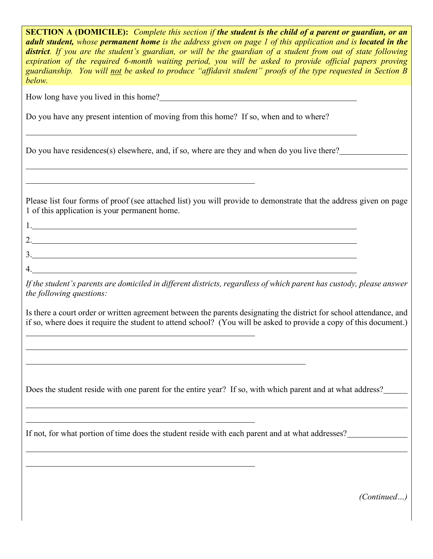| <b>SECTION A (DOMICILE):</b> Complete this section if the student is the child of a parent or guardian, or an<br>adult student, whose permanent home is the address given on page 1 of this application and is located in the<br>district. If you are the student's guardian, or will be the guardian of a student from out of state following<br>expiration of the required 6-month waiting period, you will be asked to provide official papers proving<br>guardianship. You will not be asked to produce "affidavit student" proofs of the type requested in Section B<br>below. |
|-------------------------------------------------------------------------------------------------------------------------------------------------------------------------------------------------------------------------------------------------------------------------------------------------------------------------------------------------------------------------------------------------------------------------------------------------------------------------------------------------------------------------------------------------------------------------------------|
| How long have you lived in this home?<br><u>Letting</u> the state of the state of the state of the state of the state of the state of the state of the state of the state of the state of the state of the state of the state of the                                                                                                                                                                                                                                                                                                                                                |
| Do you have any present intention of moving from this home? If so, when and to where?                                                                                                                                                                                                                                                                                                                                                                                                                                                                                               |
| Do you have residences(s) elsewhere, and, if so, where are they and when do you live there?                                                                                                                                                                                                                                                                                                                                                                                                                                                                                         |
| Please list four forms of proof (see attached list) you will provide to demonstrate that the address given on page<br>1 of this application is your permanent home.                                                                                                                                                                                                                                                                                                                                                                                                                 |
| 2.                                                                                                                                                                                                                                                                                                                                                                                                                                                                                                                                                                                  |
| 3.                                                                                                                                                                                                                                                                                                                                                                                                                                                                                                                                                                                  |
|                                                                                                                                                                                                                                                                                                                                                                                                                                                                                                                                                                                     |
| If the student's parents are domiciled in different districts, regardless of which parent has custody, please answer<br>the following questions:                                                                                                                                                                                                                                                                                                                                                                                                                                    |
| Is there a court order or written agreement between the parents designating the district for school attendance, and<br>if so, where does it require the student to attend school? (You will be asked to provide a copy of this document.)                                                                                                                                                                                                                                                                                                                                           |
| Does the student reside with one parent for the entire year? If so, with which parent and at what address?                                                                                                                                                                                                                                                                                                                                                                                                                                                                          |
| <u> 1989 - Johann Barn, mars ann an t-Amhain ann an t-Amhain ann an t-Amhain ann an t-Amhain an t-Amhain ann an t-</u><br>If not, for what portion of time does the student reside with each parent and at what addresses?                                                                                                                                                                                                                                                                                                                                                          |
| (Continued)                                                                                                                                                                                                                                                                                                                                                                                                                                                                                                                                                                         |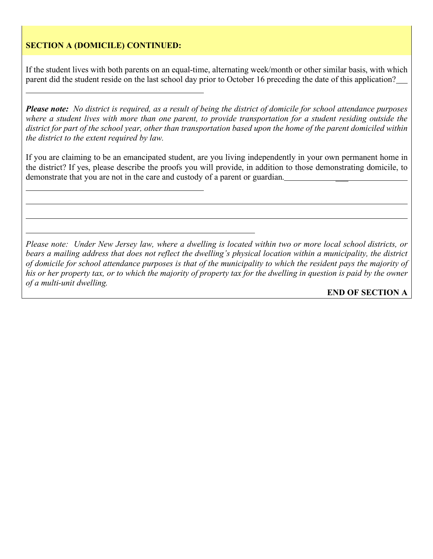## **SECTION A (DOMICILE) CONTINUED:**

If the student lives with both parents on an equal-time, alternating week/month or other similar basis, with which parent did the student reside on the last school day prior to October 16 preceding the date of this application?

*Please note: No district is required, as a result of being the district of domicile for school attendance purposes where a student lives with more than one parent, to provide transportation for a student residing outside the district for part of the school year, other than transportation based upon the home of the parent domiciled within the district to the extent required by law.*

If you are claiming to be an emancipated student, are you living independently in your own permanent home in the district? If yes, please describe the proofs you will provide, in addition to those demonstrating domicile, to demonstrate that you are not in the care and custody of a parent or guardian.

*Please note: Under New Jersey law, where a dwelling is located within two or more local school districts, or*  bears a mailing address that does not reflect the dwelling's physical location within a municipality, the district *of domicile for school attendance purposes is that of the municipality to which the resident pays the majority of his or her property tax, or to which the majority of property tax for the dwelling in question is paid by the owner of a multi-unit dwelling.*

## **END OF SECTION A**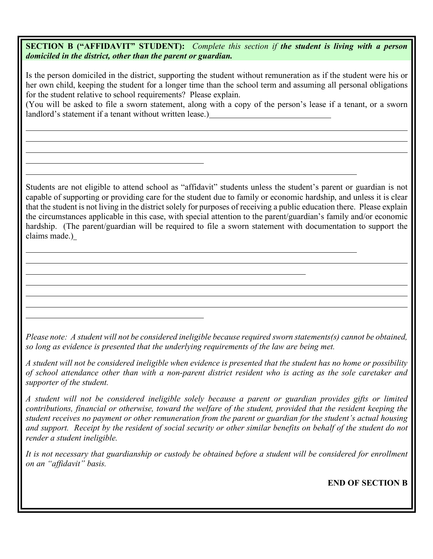**SECTION B ("AFFIDAVIT" STUDENT):** *Complete this section if the student is living with a person domiciled in the district, other than the parent or guardian.* 

Is the person domiciled in the district, supporting the student without remuneration as if the student were his or her own child, keeping the student for a longer time than the school term and assuming all personal obligations for the student relative to school requirements? Please explain.

(You will be asked to file a sworn statement, along with a copy of the person's lease if a tenant, or a sworn landlord's statement if a tenant without written lease.)

Students are not eligible to attend school as "affidavit" students unless the student's parent or guardian is not capable of supporting or providing care for the student due to family or economic hardship, and unless it is clear that the student is not living in the district solely for purposes of receiving a public education there. Please explain the circumstances applicable in this case, with special attention to the parent/guardian's family and/or economic hardship. (The parent/guardian will be required to file a sworn statement with documentation to support the claims made.)

*Please note: A student will not be considered ineligible because required sworn statements(s) cannot be obtained, so long as evidence is presented that the underlying requirements of the law are being met.*

*A student will not be considered ineligible when evidence is presented that the student has no home or possibility of school attendance other than with a non-parent district resident who is acting as the sole caretaker and supporter of the student.* 

*A student will not be considered ineligible solely because a parent or guardian provides gifts or limited contributions, financial or otherwise, toward the welfare of the student, provided that the resident keeping the student receives no payment or other remuneration from the parent or guardian for the student's actual housing and support. Receipt by the resident of social security or other similar benefits on behalf of the student do not render a student ineligible.* 

*It is not necessary that guardianship or custody be obtained before a student will be considered for enrollment on an "affidavit" basis.* 

**END OF SECTION B**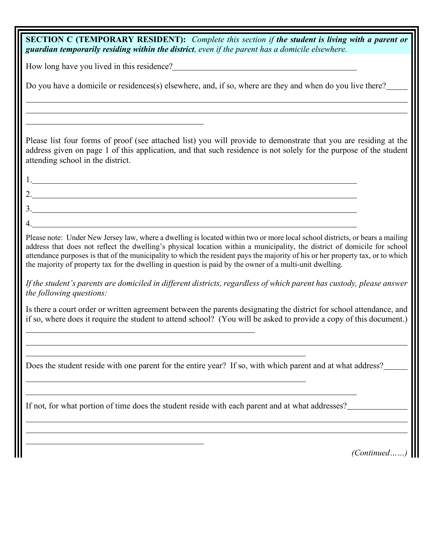**SECTION C (TEMPORARY RESIDENT):** *Complete this section if the student is living with a parent or guardian temporarily residing within the district, even if the parent has a domicile elsewhere.* 

How long have you lived in this residence?

Do you have a domicile or residences(s) elsewhere, and, if so, where are they and when do you live there?

Please list four forms of proof (see attached list) you will provide to demonstrate that you are residing at the address given on page 1 of this application, and that such residence is not solely for the purpose of the student attending school in the district.

1.

2.

4.

Please note: Under New Jersey law, where a dwelling is located within two or more local school districts, or bears a mailing address that does not reflect the dwelling's physical location within a municipality, the district of domicile for school attendance purposes is that of the municipality to which the resident pays the majority of his or her property tax, or to which the majority of property tax for the dwelling in question is paid by the owner of a multi-unit dwelling.

3.

*If the student's parents are domiciled in different districts, regardless of which parent has custody, please answer the following questions:* 

Is there a court order or written agreement between the parents designating the district for school attendance, and if so, where does it require the student to attend school? (You will be asked to provide a copy of this document.)

Does the student reside with one parent for the entire year? If so, with which parent and at what address?

If not, for what portion of time does the student reside with each parent and at what addresses?

*(Continued……)*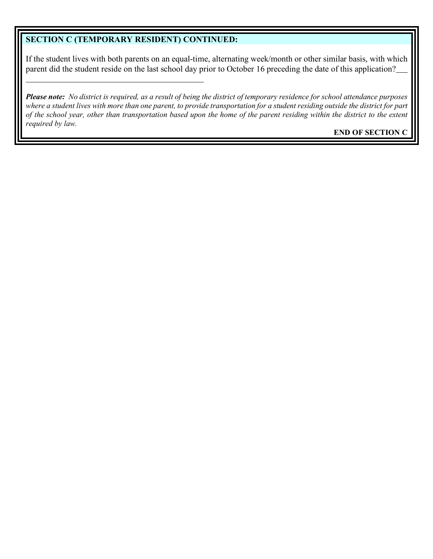## **SECTION C (TEMPORARY RESIDENT) CONTINUED:**

If the student lives with both parents on an equal-time, alternating week/month or other similar basis, with which parent did the student reside on the last school day prior to October 16 preceding the date of this application?

*Please note: No district is required, as a result of being the district of temporary residence for school attendance purposes where a student lives with more than one parent, to provide transportation for a student residing outside the district for part of the school year, other than transportation based upon the home of the parent residing within the district to the extent required by law.*

## **END OF SECTION C**